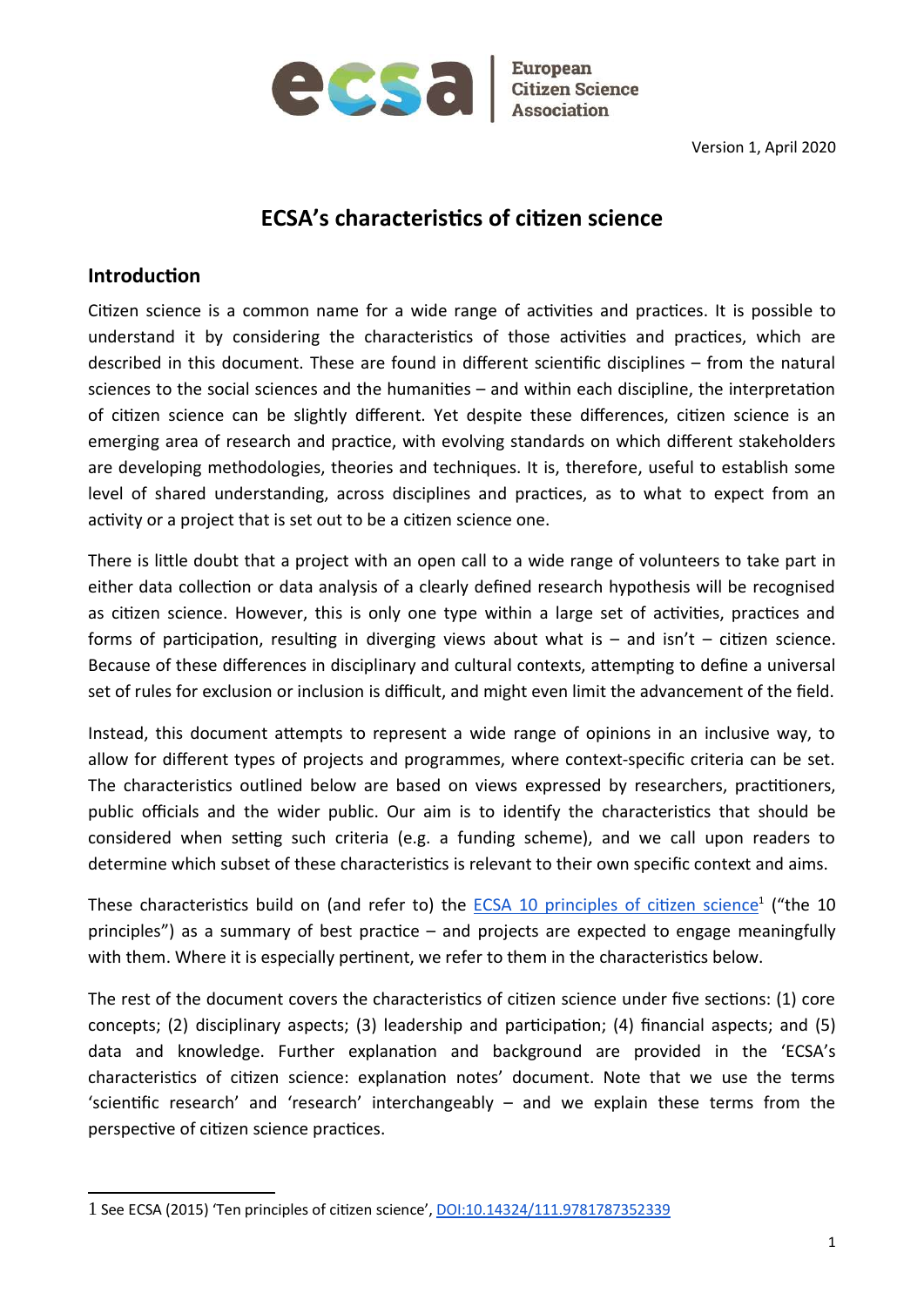

**Citizen Science** 

# ECSA's characteristics of citizen science

#### **Introduction**

Citizen science is a common name for a wide range of activities and practices. It is possible to understand it by considering the characteristics of those activities and practices, which are described in this document. These are found in different scientific disciplines – from the natural sciences to the social sciences and the humanities  $-$  and within each discipline, the interpretation of citizen science can be slightly different. Yet despite these differences, citizen science is an emerging area of research and practice, with evolving standards on which different stakeholders are developing methodologies, theories and techniques. It is, therefore, useful to establish some level of shared understanding, across disciplines and practices, as to what to expect from an activity or a project that is set out to be a citizen science one.

There is little doubt that a project with an open call to a wide range of volunteers to take part in either data collection or data analysis of a clearly defined research hypothesis will be recognised as citizen science. However, this is only one type within a large set of activities, practices and forms of participation, resulting in diverging views about what is  $-$  and isn't  $-$  citizen science. Because of these differences in disciplinary and cultural contexts, attempting to define a universal set of rules for exclusion or inclusion is difficult, and might even limit the advancement of the field.

Instead, this document attempts to represent a wide range of opinions in an inclusive way, to allow for different types of projects and programmes, where context-specific criteria can be set. The characteristics outlined below are based on views expressed by researchers, practitioners, public officials and the wider public. Our aim is to identify the characteristics that should be considered when setting such criteria (e.g. a funding scheme), and we call upon readers to determine which subset of these characteristics is relevant to their own specific context and aims.

These characteristics build on (and refer to) the **ECSA 10 principles of citizen science**<sup>1</sup> ("the 10 principles") as a summary of best practice  $-$  and projects are expected to engage meaningfully with them. Where it is especially pertinent, we refer to them in the characteristics below.

The rest of the document covers the characteristics of citizen science under five sections: (1) core concepts; (2) disciplinary aspects; (3) leadership and participation; (4) financial aspects; and (5) data and knowledge. Further explanation and background are provided in the 'ECSA's characteristics of citizen science: explanation notes' document. Note that we use the terms 'scientific research' and 'research' interchangeably – and we explain these terms from the perspective of citizen science practices.

<sup>1</sup> See ECSA (2015) 'Ten principles of ciƟzen science', DOI:10.14324/111.9781787352339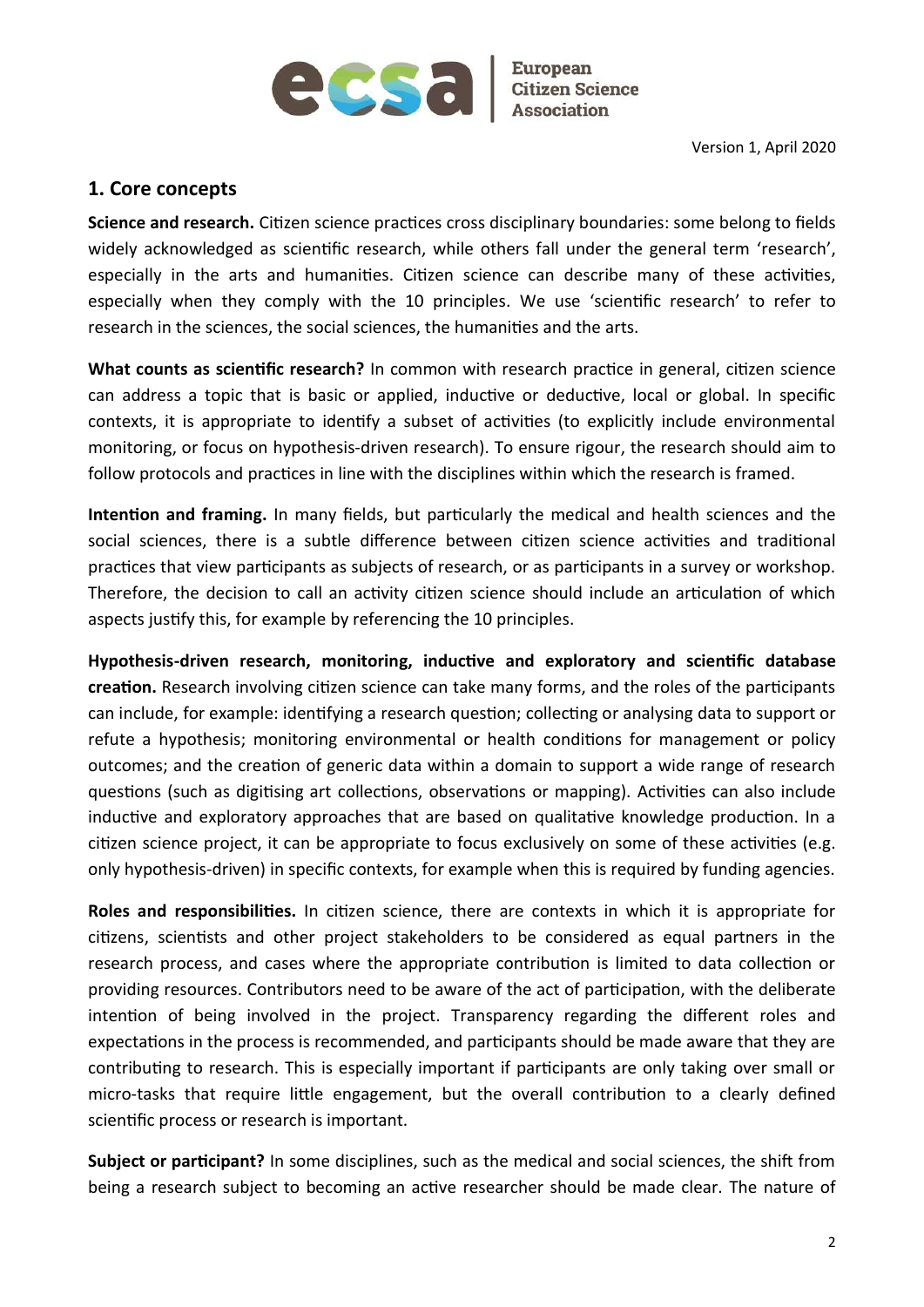

#### 1. Core concepts

Science and research. Citizen science practices cross disciplinary boundaries: some belong to fields widely acknowledged as scientific research, while others fall under the general term 'research', especially in the arts and humanities. Citizen science can describe many of these activities, especially when they comply with the 10 principles. We use 'scientific research' to refer to research in the sciences, the social sciences, the humanities and the arts.

What counts as scientific research? In common with research practice in general, citizen science can address a topic that is basic or applied, inductive or deductive, local or global. In specific contexts, it is appropriate to identify a subset of activities (to explicitly include environmental monitoring, or focus on hypothesis-driven research). To ensure rigour, the research should aim to follow protocols and practices in line with the disciplines within which the research is framed.

Intention and framing. In many fields, but particularly the medical and health sciences and the social sciences, there is a subtle difference between citizen science activities and traditional practices that view participants as subjects of research, or as participants in a survey or workshop. Therefore, the decision to call an activity citizen science should include an articulation of which aspects justify this, for example by referencing the 10 principles.

Hypothesis-driven research, monitoring, inductive and exploratory and scientific database creation. Research involving citizen science can take many forms, and the roles of the participants can include, for example: identifying a research question; collecting or analysing data to support or refute a hypothesis; monitoring environmental or health conditions for management or policy outcomes; and the creation of generic data within a domain to support a wide range of research questions (such as digitising art collections, observations or mapping). Activities can also include inductive and exploratory approaches that are based on qualitative knowledge production. In a citizen science project, it can be appropriate to focus exclusively on some of these activities (e.g. only hypothesis-driven) in specific contexts, for example when this is required by funding agencies.

Roles and responsibilities. In citizen science, there are contexts in which it is appropriate for citizens, scientists and other project stakeholders to be considered as equal partners in the research process, and cases where the appropriate contribution is limited to data collection or providing resources. Contributors need to be aware of the act of participation, with the deliberate intention of being involved in the project. Transparency regarding the different roles and expectations in the process is recommended, and participants should be made aware that they are contributing to research. This is especially important if participants are only taking over small or micro-tasks that require little engagement, but the overall contribution to a clearly defined scientific process or research is important.

Subject or participant? In some disciplines, such as the medical and social sciences, the shift from being a research subject to becoming an active researcher should be made clear. The nature of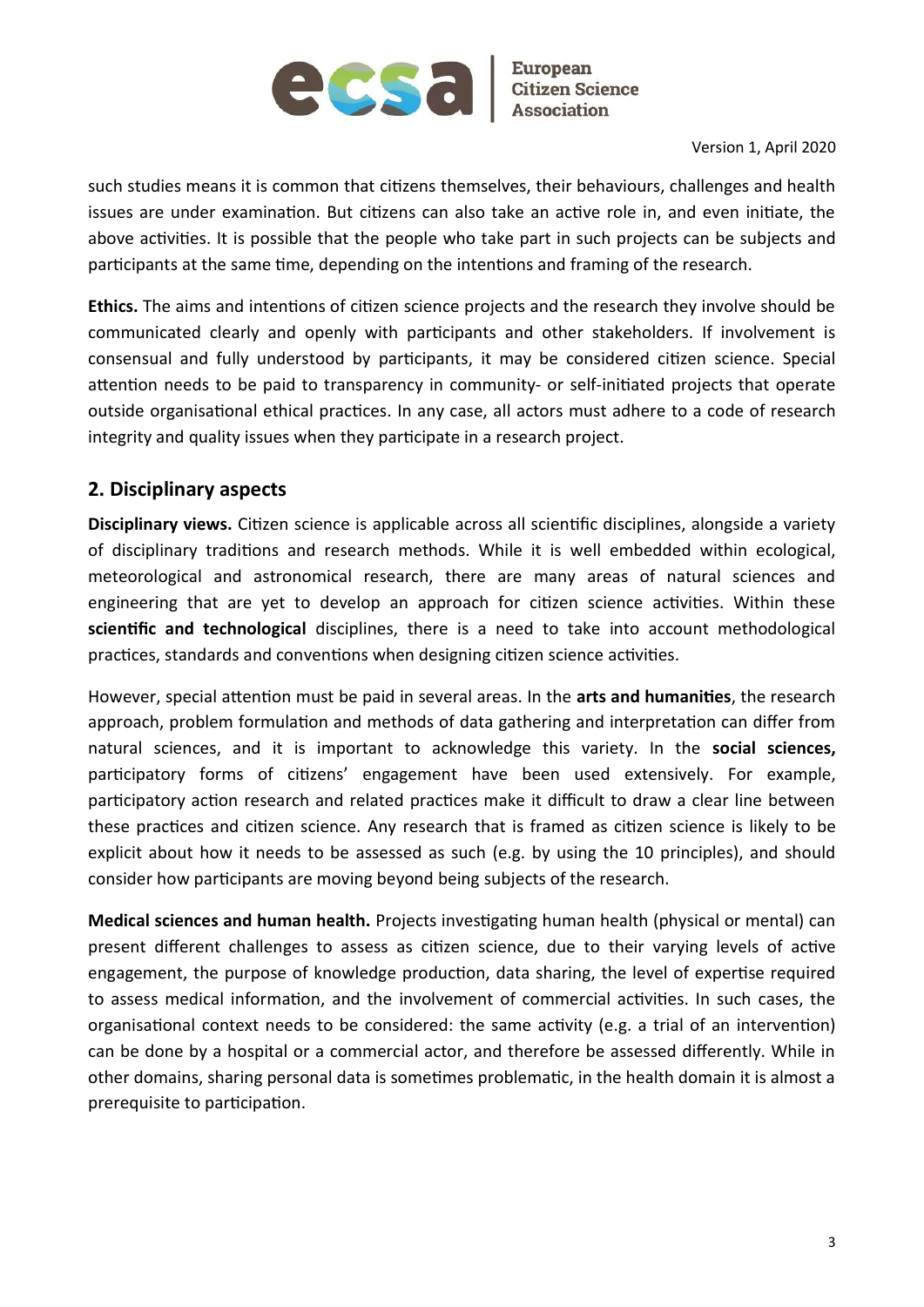

such studies means it is common that citizens themselves, their behaviours, challenges and health issues are under examination. But citizens can also take an active role in, and even initiate, the above activities. It is possible that the people who take part in such projects can be subjects and participants at the same time, depending on the intentions and framing of the research.

Ethics. The aims and intentions of citizen science projects and the research they involve should be communicated clearly and openly with participants and other stakeholders. If involvement is consensual and fully understood by participants, it may be considered citizen science. Special attention needs to be paid to transparency in community- or self-initiated projects that operate outside organisational ethical practices. In any case, all actors must adhere to a code of research integrity and quality issues when they participate in a research project.

#### 2. Disciplinary aspects

Disciplinary views. Citizen science is applicable across all scientific disciplines, alongside a variety of disciplinary traditions and research methods. While it is well embedded within ecological, meteorological and astronomical research, there are many areas of natural sciences and engineering that are yet to develop an approach for citizen science activities. Within these scientific and technological disciplines, there is a need to take into account methodological practices, standards and conventions when designing citizen science activities.

However, special attention must be paid in several areas. In the arts and humanities, the research approach, problem formulation and methods of data gathering and interpretation can differ from natural sciences, and it is important to acknowledge this variety. In the social sciences, participatory forms of citizens' engagement have been used extensively. For example, participatory action research and related practices make it difficult to draw a clear line between these practices and citizen science. Any research that is framed as citizen science is likely to be explicit about how it needs to be assessed as such (e.g. by using the 10 principles), and should consider how participants are moving beyond being subjects of the research.

Medical sciences and human health. Projects investigating human health (physical or mental) can present different challenges to assess as citizen science, due to their varying levels of active engagement, the purpose of knowledge production, data sharing, the level of expertise required to assess medical information, and the involvement of commercial activities. In such cases, the organisational context needs to be considered: the same activity (e.g. a trial of an intervention) can be done by a hospital or a commercial actor, and therefore be assessed differently. While in other domains, sharing personal data is sometimes problematic, in the health domain it is almost a prerequisite to participation.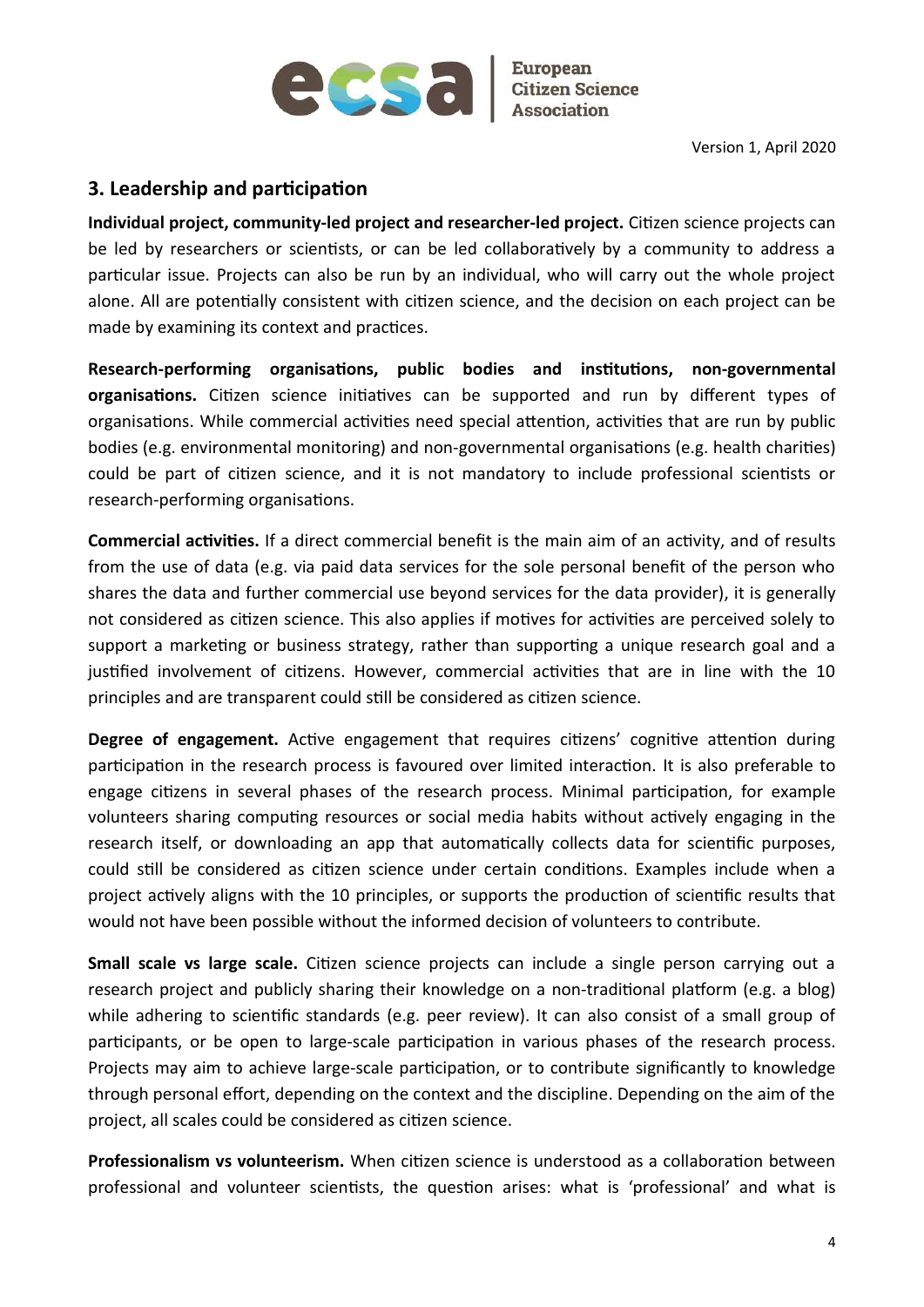

**Citizen Science** 

Version 1, April 2020

### 3. Leadership and participation

Individual project, community-led project and researcher-led project. Citizen science projects can be led by researchers or scientists, or can be led collaboratively by a community to address a particular issue. Projects can also be run by an individual, who will carry out the whole project alone. All are potentially consistent with citizen science, and the decision on each project can be made by examining its context and practices.

Research-performing organisations, public bodies and institutions, non-governmental organisations. Citizen science initiatives can be supported and run by different types of organisations. While commercial activities need special attention, activities that are run by public bodies (e.g. environmental monitoring) and non-governmental organisations (e.g. health charities) could be part of citizen science, and it is not mandatory to include professional scientists or research-performing organisations.

Commercial activities. If a direct commercial benefit is the main aim of an activity, and of results from the use of data (e.g. via paid data services for the sole personal benefit of the person who shares the data and further commercial use beyond services for the data provider), it is generally not considered as citizen science. This also applies if motives for activities are perceived solely to support a marketing or business strategy, rather than supporting a unique research goal and a justified involvement of citizens. However, commercial activities that are in line with the 10 principles and are transparent could still be considered as citizen science.

**Degree of engagement.** Active engagement that requires citizens' cognitive attention during participation in the research process is favoured over limited interaction. It is also preferable to engage citizens in several phases of the research process. Minimal participation, for example volunteers sharing computing resources or social media habits without actively engaging in the research itself, or downloading an app that automatically collects data for scientific purposes, could still be considered as citizen science under certain conditions. Examples include when a project actively aligns with the 10 principles, or supports the production of scientific results that would not have been possible without the informed decision of volunteers to contribute.

Small scale vs large scale. Citizen science projects can include a single person carrying out a research project and publicly sharing their knowledge on a non-traditional platform (e.g. a blog) while adhering to scientific standards (e.g. peer review). It can also consist of a small group of participants, or be open to large-scale participation in various phases of the research process. Projects may aim to achieve large-scale participation, or to contribute significantly to knowledge through personal effort, depending on the context and the discipline. Depending on the aim of the project, all scales could be considered as citizen science.

Professionalism vs volunteerism. When citizen science is understood as a collaboration between professional and volunteer scientists, the question arises: what is 'professional' and what is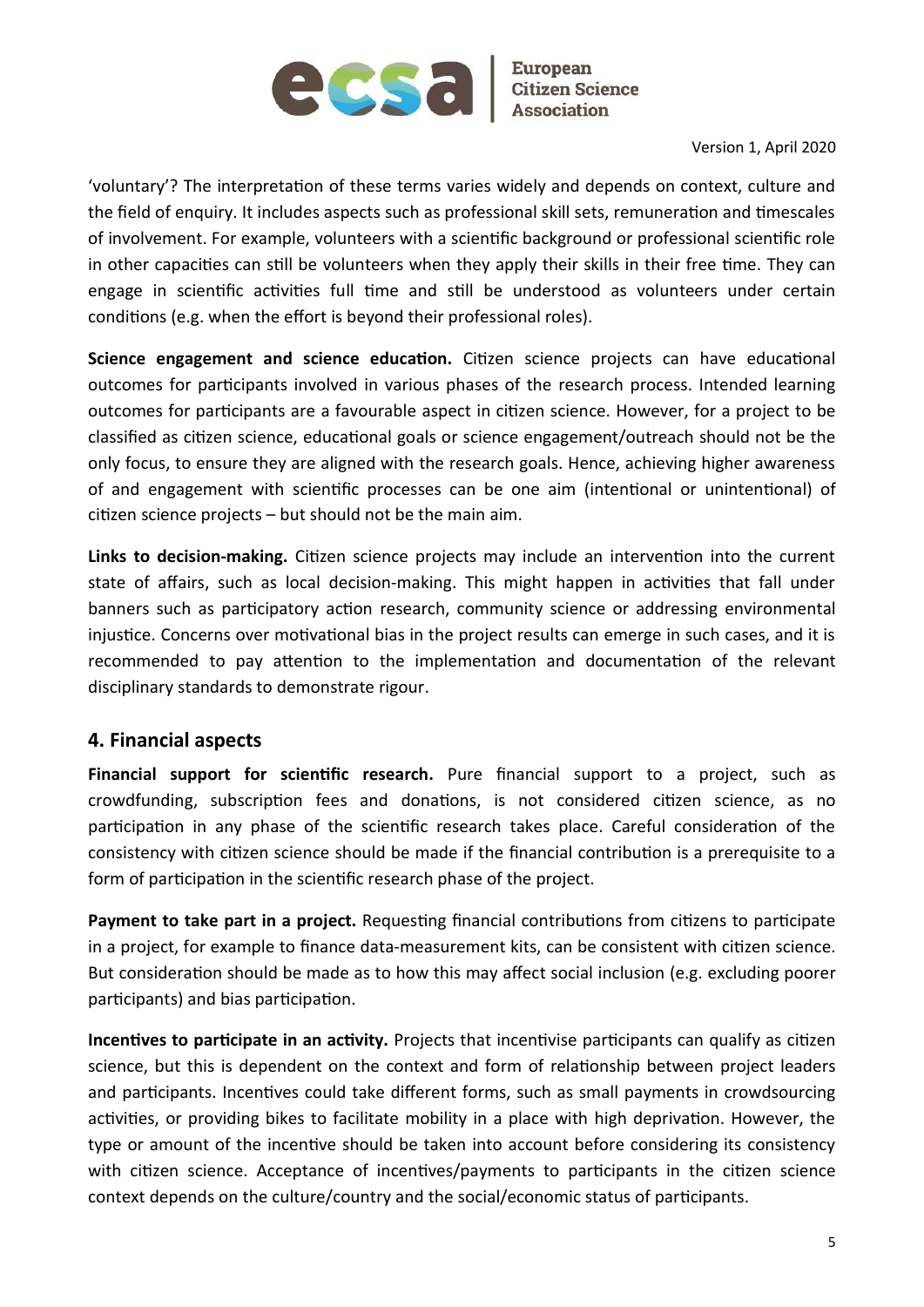

'voluntary'? The interpretation of these terms varies widely and depends on context, culture and the field of enquiry. It includes aspects such as professional skill sets, remuneration and timescales of involvement. For example, volunteers with a scientific background or professional scientific role in other capacities can still be volunteers when they apply their skills in their free time. They can engage in scientific activities full time and still be understood as volunteers under certain conditions (e.g. when the effort is beyond their professional roles).

Science engagement and science education. Citizen science projects can have educational outcomes for participants involved in various phases of the research process. Intended learning outcomes for participants are a favourable aspect in citizen science. However, for a project to be classified as citizen science, educational goals or science engagement/outreach should not be the only focus, to ensure they are aligned with the research goals. Hence, achieving higher awareness of and engagement with scientific processes can be one aim (intentional or unintentional) of citizen science projects  $-$  but should not be the main aim.

Links to decision-making. Citizen science projects may include an intervention into the current state of affairs, such as local decision-making. This might happen in activities that fall under banners such as participatory action research, community science or addressing environmental injustice. Concerns over motivational bias in the project results can emerge in such cases, and it is recommended to pay attention to the implementation and documentation of the relevant disciplinary standards to demonstrate rigour.

#### 4. Financial aspects

Financial support for scientific research. Pure financial support to a project, such as crowdfunding, subscription fees and donations, is not considered citizen science, as no participation in any phase of the scientific research takes place. Careful consideration of the consistency with citizen science should be made if the financial contribution is a prerequisite to a form of participation in the scientific research phase of the project.

Payment to take part in a project. Requesting financial contributions from citizens to participate in a project, for example to finance data-measurement kits, can be consistent with citizen science. But consideration should be made as to how this may affect social inclusion (e.g. excluding poorer participants) and bias participation.

Incentives to participate in an activity. Projects that incentivise participants can qualify as citizen science, but this is dependent on the context and form of relationship between project leaders and participants. Incentives could take different forms, such as small payments in crowdsourcing activities, or providing bikes to facilitate mobility in a place with high deprivation. However, the type or amount of the incentive should be taken into account before considering its consistency with citizen science. Acceptance of incentives/payments to participants in the citizen science context depends on the culture/country and the social/economic status of participants.